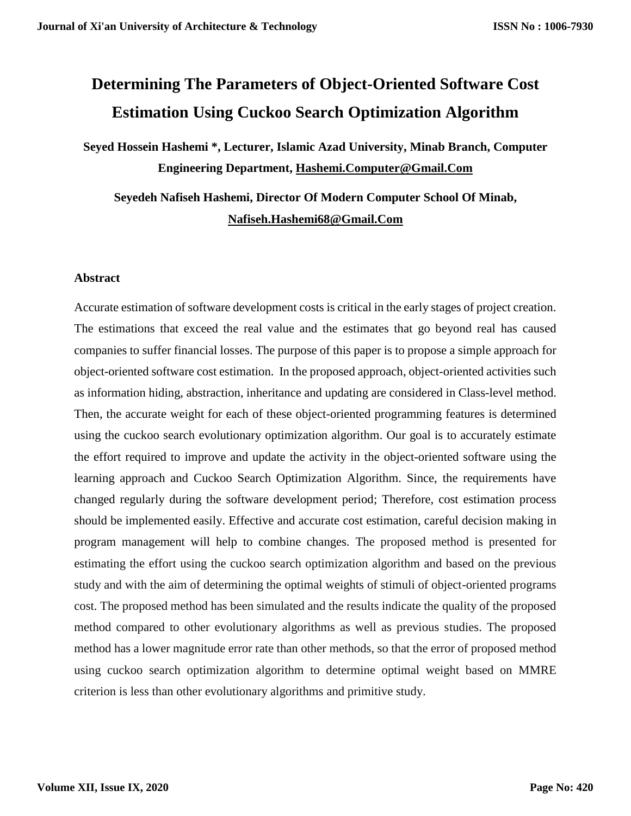# **Determining The Parameters of Object-Oriented Software Cost Estimation Using Cuckoo Search Optimization Algorithm**

**Seyed Hossein Hashemi \*, Lecturer, Islamic Azad University, Minab Branch, Computer Engineering Department, [Hashemi.Computer@Gmail.Com](mailto:Hashemi.computer@gmail.com)**

**Seyedeh Nafiseh Hashemi, Director Of Modern Computer School Of Minab, [Nafiseh.Hashemi68@Gmail.Com](mailto:nafiseh.hashemi68@gmail.com)**

### **Abstract**

Accurate estimation of software development costs is critical in the early stages of project creation. The estimations that exceed the real value and the estimates that go beyond real has caused companies to suffer financial losses. The purpose of this paper is to propose a simple approach for object-oriented software cost estimation. In the proposed approach, object-oriented activities such as information hiding, abstraction, inheritance and updating are considered in Class-level method. Then, the accurate weight for each of these object-oriented programming features is determined using the cuckoo search evolutionary optimization algorithm. Our goal is to accurately estimate the effort required to improve and update the activity in the object-oriented software using the learning approach and Cuckoo Search Optimization Algorithm. Since, the requirements have changed regularly during the software development period; Therefore, cost estimation process should be implemented easily. Effective and accurate cost estimation, careful decision making in program management will help to combine changes. The proposed method is presented for estimating the effort using the cuckoo search optimization algorithm and based on the previous study and with the aim of determining the optimal weights of stimuli of object-oriented programs cost. The proposed method has been simulated and the results indicate the quality of the proposed method compared to other evolutionary algorithms as well as previous studies. The proposed method has a lower magnitude error rate than other methods, so that the error of proposed method using cuckoo search optimization algorithm to determine optimal weight based on MMRE criterion is less than other evolutionary algorithms and primitive study.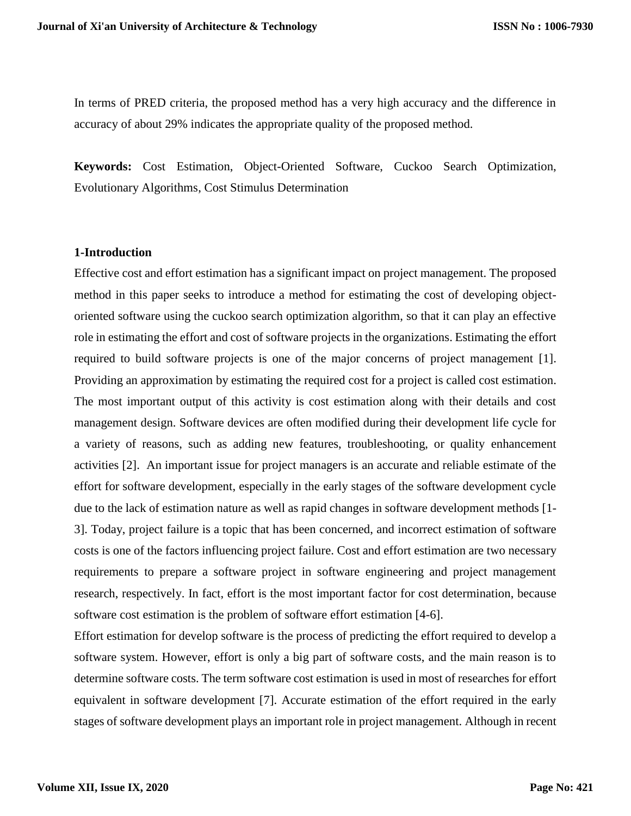In terms of PRED criteria, the proposed method has a very high accuracy and the difference in accuracy of about 29% indicates the appropriate quality of the proposed method.

**Keywords:** Cost Estimation, Object-Oriented Software, Cuckoo Search Optimization, Evolutionary Algorithms, Cost Stimulus Determination

### **1-Introduction**

Effective cost and effort estimation has a significant impact on project management. The proposed method in this paper seeks to introduce a method for estimating the cost of developing objectoriented software using the cuckoo search optimization algorithm, so that it can play an effective role in estimating the effort and cost of software projects in the organizations. Estimating the effort required to build software projects is one of the major concerns of project management [1]. Providing an approximation by estimating the required cost for a project is called cost estimation. The most important output of this activity is cost estimation along with their details and cost management design. Software devices are often modified during their development life cycle for a variety of reasons, such as adding new features, troubleshooting, or quality enhancement activities [2]. An important issue for project managers is an accurate and reliable estimate of the effort for software development, especially in the early stages of the software development cycle due to the lack of estimation nature as well as rapid changes in software development methods [1- 3]. Today, project failure is a topic that has been concerned, and incorrect estimation of software costs is one of the factors influencing project failure. Cost and effort estimation are two necessary requirements to prepare a software project in software engineering and project management research, respectively. In fact, effort is the most important factor for cost determination, because software cost estimation is the problem of software effort estimation [4-6].

Effort estimation for develop software is the process of predicting the effort required to develop a software system. However, effort is only a big part of software costs, and the main reason is to determine software costs. The term software cost estimation is used in most of researches for effort equivalent in software development [7]. Accurate estimation of the effort required in the early stages of software development plays an important role in project management. Although in recent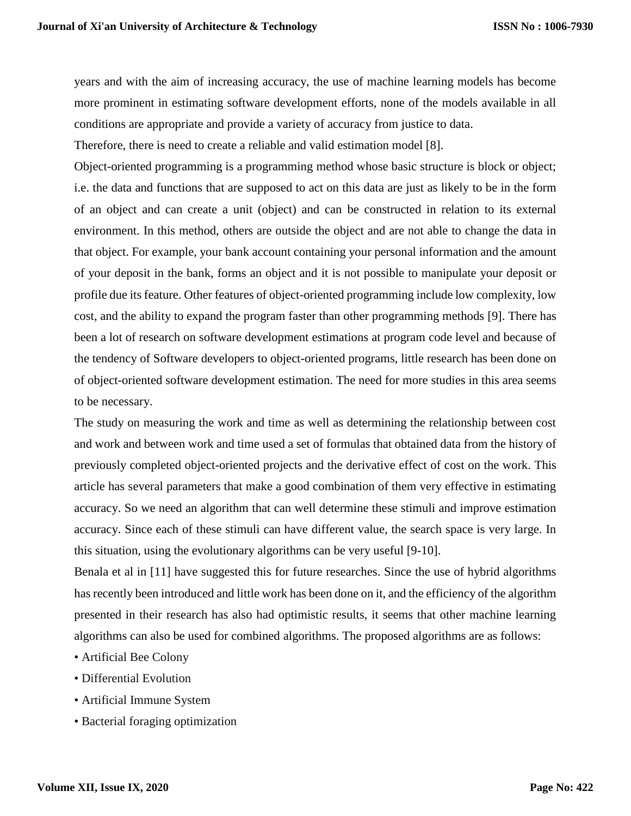years and with the aim of increasing accuracy, the use of machine learning models has become more prominent in estimating software development efforts, none of the models available in all conditions are appropriate and provide a variety of accuracy from justice to data.

Therefore, there is need to create a reliable and valid estimation model [8].

Object-oriented programming is a programming method whose basic structure is block or object; i.e. the data and functions that are supposed to act on this data are just as likely to be in the form of an object and can create a unit (object) and can be constructed in relation to its external environment. In this method, others are outside the object and are not able to change the data in that object. For example, your bank account containing your personal information and the amount of your deposit in the bank, forms an object and it is not possible to manipulate your deposit or profile due its feature. Other features of object-oriented programming include low complexity, low cost, and the ability to expand the program faster than other programming methods [9]. There has been a lot of research on software development estimations at program code level and because of the tendency of Software developers to object-oriented programs, little research has been done on of object-oriented software development estimation. The need for more studies in this area seems to be necessary.

The study on measuring the work and time as well as determining the relationship between cost and work and between work and time used a set of formulas that obtained data from the history of previously completed object-oriented projects and the derivative effect of cost on the work. This article has several parameters that make a good combination of them very effective in estimating accuracy. So we need an algorithm that can well determine these stimuli and improve estimation accuracy. Since each of these stimuli can have different value, the search space is very large. In this situation, using the evolutionary algorithms can be very useful [9-10].

Benala et al in [11] have suggested this for future researches. Since the use of hybrid algorithms has recently been introduced and little work has been done on it, and the efficiency of the algorithm presented in their research has also had optimistic results, it seems that other machine learning algorithms can also be used for combined algorithms. The proposed algorithms are as follows:

- Artificial Bee Colony
- Differential Evolution
- Artificial Immune System
- Bacterial foraging optimization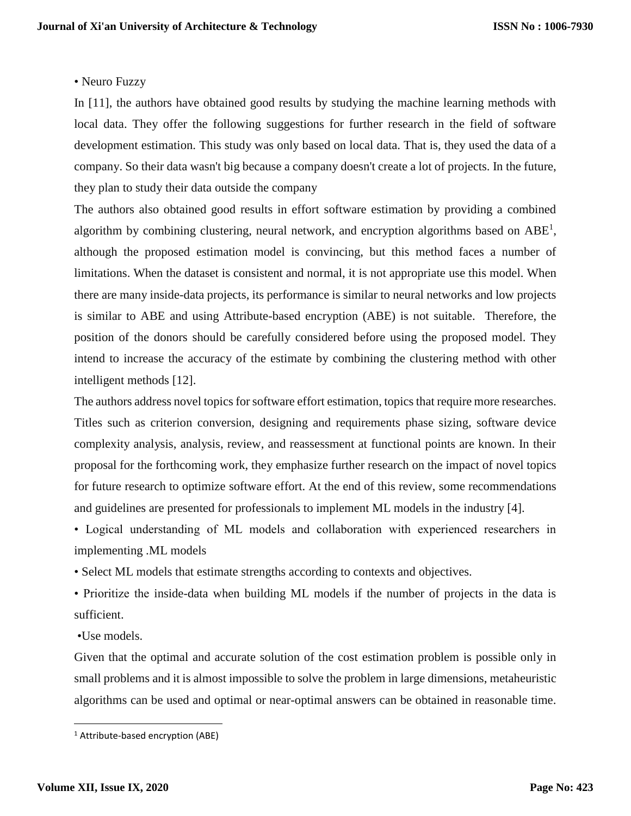## • Neuro Fuzzy

In [11], the authors have obtained good results by studying the machine learning methods with local data. They offer the following suggestions for further research in the field of software development estimation. This study was only based on local data. That is, they used the data of a company. So their data wasn't big because a company doesn't create a lot of projects. In the future, they plan to study their data outside the company

The authors also obtained good results in effort software estimation by providing a combined algorithm by combining clustering, neural network, and encryption algorithms based on  $ABE<sup>1</sup>$ , although the proposed estimation model is convincing, but this method faces a number of limitations. When the dataset is consistent and normal, it is not appropriate use this model. When there are many inside-data projects, its performance is similar to neural networks and low projects is similar to ABE and using Attribute-based encryption (ABE) is not suitable. Therefore, the position of the donors should be carefully considered before using the proposed model. They intend to increase the accuracy of the estimate by combining the clustering method with other intelligent methods [12].

The authors address novel topics for software effort estimation, topics that require more researches. Titles such as criterion conversion, designing and requirements phase sizing, software device complexity analysis, analysis, review, and reassessment at functional points are known. In their proposal for the forthcoming work, they emphasize further research on the impact of novel topics for future research to optimize software effort. At the end of this review, some recommendations and guidelines are presented for professionals to implement ML models in the industry [4].

• Logical understanding of ML models and collaboration with experienced researchers in implementing .ML models

• Select ML models that estimate strengths according to contexts and objectives.

• Prioritize the inside-data when building ML models if the number of projects in the data is sufficient.

•Use models.

Given that the optimal and accurate solution of the cost estimation problem is possible only in small problems and it is almost impossible to solve the problem in large dimensions, metaheuristic algorithms can be used and optimal or near-optimal answers can be obtained in reasonable time.

 $\overline{\phantom{a}}$ 

<sup>1</sup> Attribute-based encryption (ABE)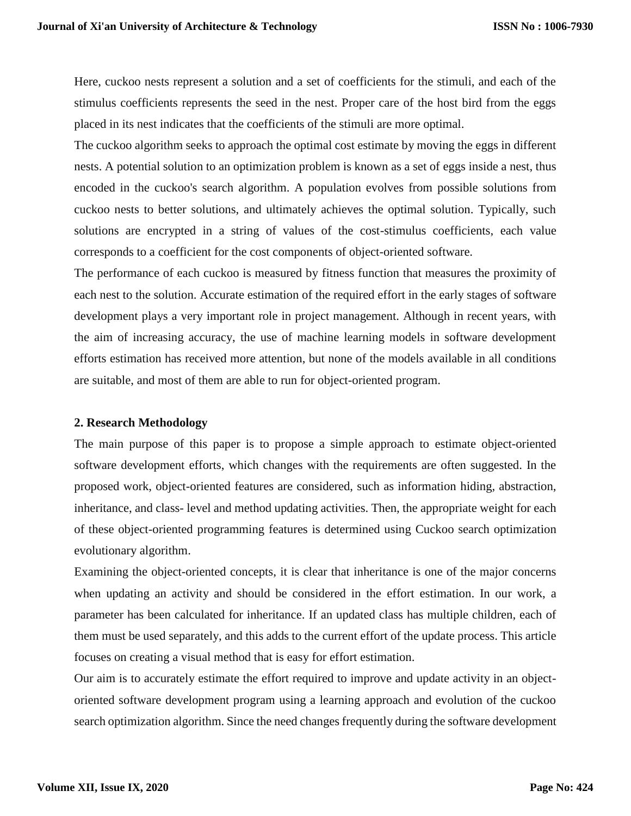Here, cuckoo nests represent a solution and a set of coefficients for the stimuli, and each of the stimulus coefficients represents the seed in the nest. Proper care of the host bird from the eggs placed in its nest indicates that the coefficients of the stimuli are more optimal.

The cuckoo algorithm seeks to approach the optimal cost estimate by moving the eggs in different nests. A potential solution to an optimization problem is known as a set of eggs inside a nest, thus encoded in the cuckoo's search algorithm. A population evolves from possible solutions from cuckoo nests to better solutions, and ultimately achieves the optimal solution. Typically, such solutions are encrypted in a string of values of the cost-stimulus coefficients, each value corresponds to a coefficient for the cost components of object-oriented software.

The performance of each cuckoo is measured by fitness function that measures the proximity of each nest to the solution. Accurate estimation of the required effort in the early stages of software development plays a very important role in project management. Although in recent years, with the aim of increasing accuracy, the use of machine learning models in software development efforts estimation has received more attention, but none of the models available in all conditions are suitable, and most of them are able to run for object-oriented program.

### **2. Research Methodology**

The main purpose of this paper is to propose a simple approach to estimate object-oriented software development efforts, which changes with the requirements are often suggested. In the proposed work, object-oriented features are considered, such as information hiding, abstraction, inheritance, and class- level and method updating activities. Then, the appropriate weight for each of these object-oriented programming features is determined using Cuckoo search optimization evolutionary algorithm.

Examining the object-oriented concepts, it is clear that inheritance is one of the major concerns when updating an activity and should be considered in the effort estimation. In our work, a parameter has been calculated for inheritance. If an updated class has multiple children, each of them must be used separately, and this adds to the current effort of the update process. This article focuses on creating a visual method that is easy for effort estimation.

Our aim is to accurately estimate the effort required to improve and update activity in an objectoriented software development program using a learning approach and evolution of the cuckoo search optimization algorithm. Since the need changes frequently during the software development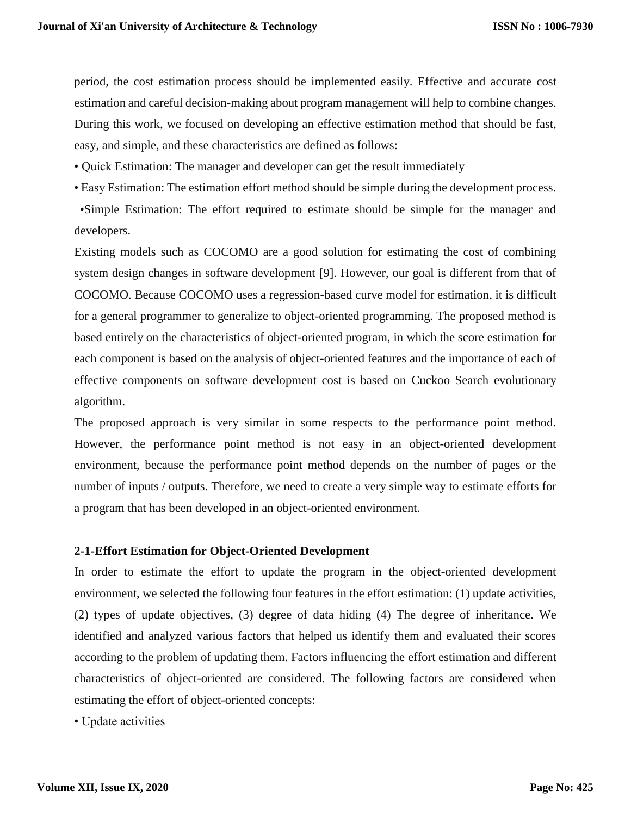period, the cost estimation process should be implemented easily. Effective and accurate cost estimation and careful decision-making about program management will help to combine changes. During this work, we focused on developing an effective estimation method that should be fast, easy, and simple, and these characteristics are defined as follows:

- Quick Estimation: The manager and developer can get the result immediately
- Easy Estimation: The estimation effort method should be simple during the development process.

 •Simple Estimation: The effort required to estimate should be simple for the manager and developers.

Existing models such as COCOMO are a good solution for estimating the cost of combining system design changes in software development [9]. However, our goal is different from that of COCOMO. Because COCOMO uses a regression-based curve model for estimation, it is difficult for a general programmer to generalize to object-oriented programming. The proposed method is based entirely on the characteristics of object-oriented program, in which the score estimation for each component is based on the analysis of object-oriented features and the importance of each of effective components on software development cost is based on Cuckoo Search evolutionary algorithm.

The proposed approach is very similar in some respects to the performance point method. However, the performance point method is not easy in an object-oriented development environment, because the performance point method depends on the number of pages or the number of inputs / outputs. Therefore, we need to create a very simple way to estimate efforts for a program that has been developed in an object-oriented environment.

### **2-1-Effort Estimation for Object-Oriented Development**

In order to estimate the effort to update the program in the object-oriented development environment, we selected the following four features in the effort estimation: (1) update activities, (2) types of update objectives, (3) degree of data hiding (4) The degree of inheritance. We identified and analyzed various factors that helped us identify them and evaluated their scores according to the problem of updating them. Factors influencing the effort estimation and different characteristics of object-oriented are considered. The following factors are considered when estimating the effort of object-oriented concepts:

• Update activities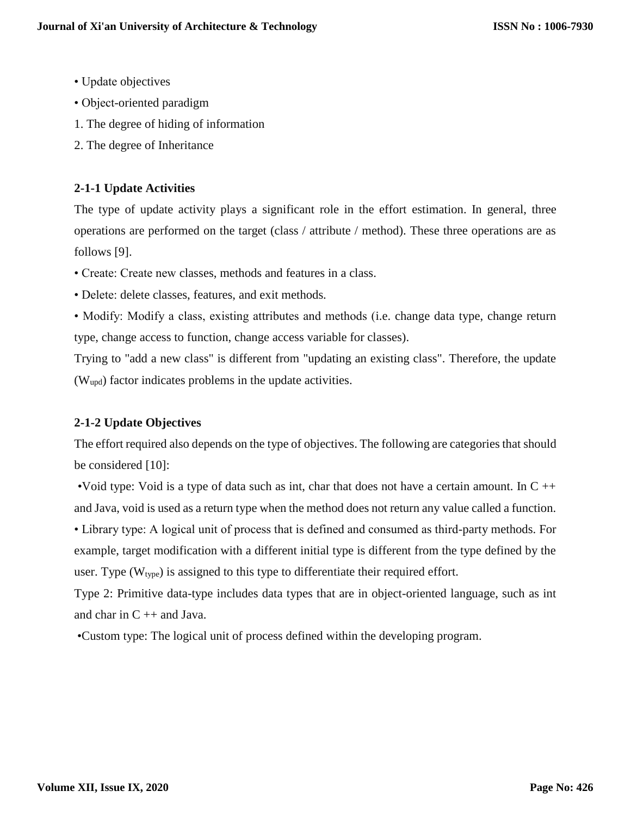- Update objectives
- Object-oriented paradigm
- 1. The degree of hiding of information
- 2. The degree of Inheritance

# **2-1-1 Update Activities**

The type of update activity plays a significant role in the effort estimation. In general, three operations are performed on the target (class / attribute / method). These three operations are as follows [9].

- Create: Create new classes, methods and features in a class.
- Delete: delete classes, features, and exit methods.
- Modify: Modify a class, existing attributes and methods (i.e. change data type, change return type, change access to function, change access variable for classes).

Trying to "add a new class" is different from "updating an existing class". Therefore, the update (Wupd) factor indicates problems in the update activities.

# **2-1-2 Update Objectives**

The effort required also depends on the type of objectives. The following are categories that should be considered [10]:

•Void type: Void is a type of data such as int, char that does not have a certain amount. In  $C + \dagger$ and Java, void is used as a return type when the method does not return any value called a function.

• Library type: A logical unit of process that is defined and consumed as third-party methods. For example, target modification with a different initial type is different from the type defined by the user. Type  $(W_{type})$  is assigned to this type to differentiate their required effort.

Type 2: Primitive data-type includes data types that are in object-oriented language, such as int and char in  $C +$  + and Java.

•Custom type: The logical unit of process defined within the developing program.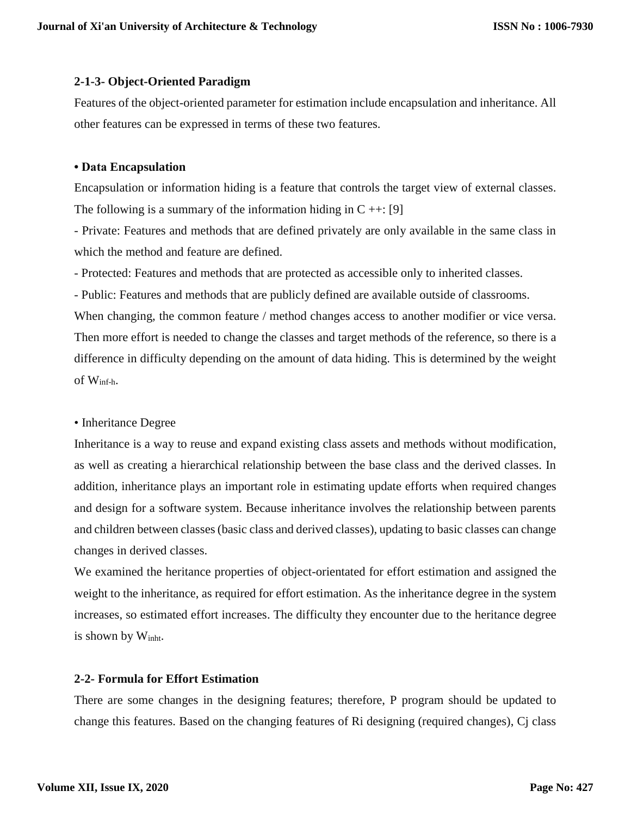# **2-1-3- Object-Oriented Paradigm**

Features of the object-oriented parameter for estimation include encapsulation and inheritance. All other features can be expressed in terms of these two features.

### **• Data Encapsulation**

Encapsulation or information hiding is a feature that controls the target view of external classes. The following is a summary of the information hiding in  $C \rightarrow \cdots$  [9]

- Private: Features and methods that are defined privately are only available in the same class in which the method and feature are defined.

- Protected: Features and methods that are protected as accessible only to inherited classes.

- Public: Features and methods that are publicly defined are available outside of classrooms.

When changing, the common feature / method changes access to another modifier or vice versa. Then more effort is needed to change the classes and target methods of the reference, so there is a difference in difficulty depending on the amount of data hiding. This is determined by the weight of Winf-h.

• Inheritance Degree

Inheritance is a way to reuse and expand existing class assets and methods without modification, as well as creating a hierarchical relationship between the base class and the derived classes. In addition, inheritance plays an important role in estimating update efforts when required changes and design for a software system. Because inheritance involves the relationship between parents and children between classes (basic class and derived classes), updating to basic classes can change changes in derived classes.

We examined the heritance properties of object-orientated for effort estimation and assigned the weight to the inheritance, as required for effort estimation. As the inheritance degree in the system increases, so estimated effort increases. The difficulty they encounter due to the heritance degree is shown by Winht.

# **2-2- Formula for Effort Estimation**

There are some changes in the designing features; therefore, P program should be updated to change this features. Based on the changing features of Ri designing (required changes), Cj class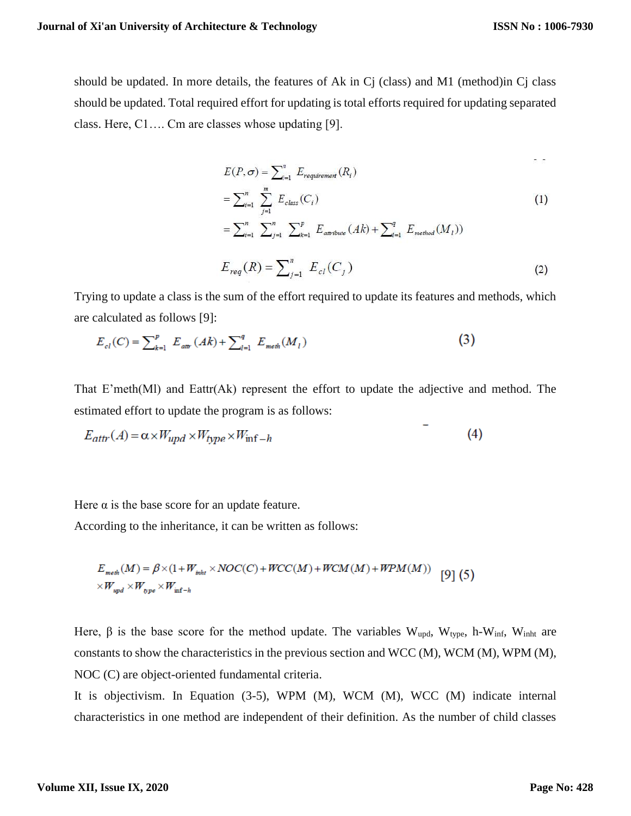should be updated. In more details, the features of Ak in Cj (class) and M1 (method)in Cj class should be updated. Total required effort for updating is total efforts required for updating separated class. Here, C1…. Cm are classes whose updating [9].

$$
E(P, \sigma) = \sum_{i=1}^{n} E_{requirement}(R_i)
$$
  
=  $\sum_{i=1}^{n} \sum_{j=1}^{m} E_{class}(C_i)$  (1)  
=  $\sum_{i=1}^{n} \sum_{j=1}^{n} \sum_{k=1}^{p} E_{arbitute}(Ak) + \sum_{l=1}^{q} E_{method}(M_l))$ 

$$
E_{req}(R) = \sum_{j=1}^{n} E_{cl}(C_j)
$$
 (2)

Trying to update a class is the sum of the effort required to update its features and methods, which are calculated as follows [9]:

$$
E_{cl}(C) = \sum_{k=1}^{p} E_{\text{attr}}(Ak) + \sum_{l=1}^{q} E_{\text{meth}}(M_{l})
$$
\n(3)

That E'meth(Ml) and Eattr(Ak) represent the effort to update the adjective and method. The estimated effort to update the program is as follows:

$$
E_{\text{attr}}(A) = \alpha \times W_{\text{upd}} \times W_{\text{type}} \times W_{\text{inf}} - h \tag{4}
$$

Here  $\alpha$  is the base score for an update feature.

According to the inheritance, it can be written as follows:

$$
E_{\text{meih}}(M) = \beta \times (1 + W_{\text{inht}} \times NOC(C) + WCC(M) + WCM(M) + WPM(M))
$$
 [9] (5)  
 
$$
\times W_{\text{upd}} \times W_{\text{inf-h}}
$$

Here, β is the base score for the method update. The variables W<sub>upd</sub>, W<sub>type</sub>, h-W<sub>inf</sub>, W<sub>inht</sub> are constants to show the characteristics in the previous section and WCC (M), WCM (M), WPM (M), NOC (C) are object-oriented fundamental criteria.

It is objectivism. In Equation (3-5), WPM (M), WCM (M), WCC (M) indicate internal characteristics in one method are independent of their definition. As the number of child classes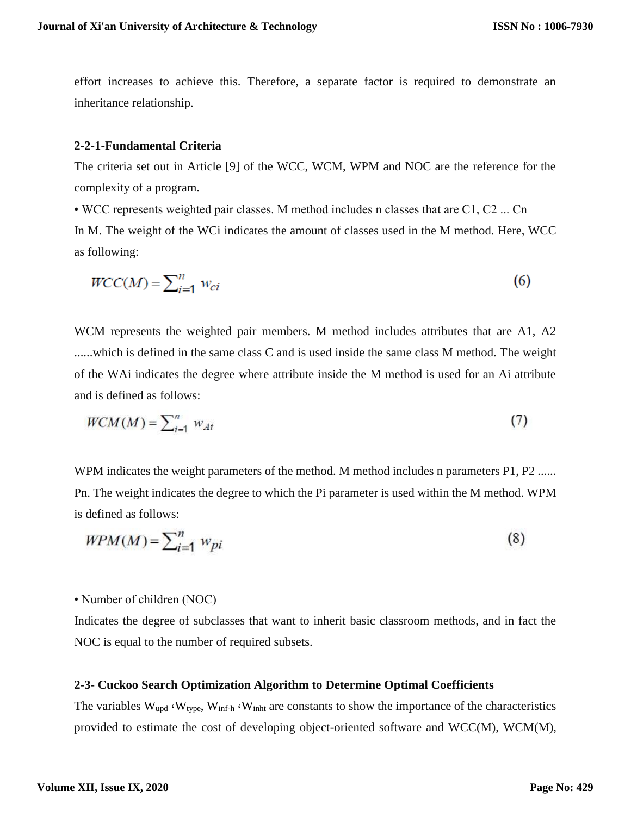effort increases to achieve this. Therefore, a separate factor is required to demonstrate an inheritance relationship.

### **2-2-1-Fundamental Criteria**

The criteria set out in Article [9] of the WCC, WCM, WPM and NOC are the reference for the complexity of a program.

• WCC represents weighted pair classes. M method includes n classes that are C1, C2 ... Cn In M. The weight of the WCi indicates the amount of classes used in the M method. Here, WCC as following:

$$
WCC(M) = \sum_{i=1}^{n} w_{ci} \tag{6}
$$

WCM represents the weighted pair members. M method includes attributes that are A1, A2 ......which is defined in the same class C and is used inside the same class M method. The weight of the WAi indicates the degree where attribute inside the M method is used for an Ai attribute and is defined as follows:

$$
WCM(M) = \sum_{i=1}^{n} w_{Ai} \tag{7}
$$

WPM indicates the weight parameters of the method. M method includes n parameters P1, P2 ...... Pn. The weight indicates the degree to which the Pi parameter is used within the M method. WPM is defined as follows:

$$
WPM(M) = \sum_{i=1}^{n} w_{pi} \tag{8}
$$

• Number of children (NOC)

Indicates the degree of subclasses that want to inherit basic classroom methods, and in fact the NOC is equal to the number of required subsets.

### **2-3- Cuckoo Search Optimization Algorithm to Determine Optimal Coefficients**

The variables  $W_{\text{upd}}$   $\cdot W_{\text{type}}$ ,  $W_{\text{inf-h}}$   $\cdot W_{\text{inht}}$  are constants to show the importance of the characteristics provided to estimate the cost of developing object-oriented software and WCC(M), WCM(M),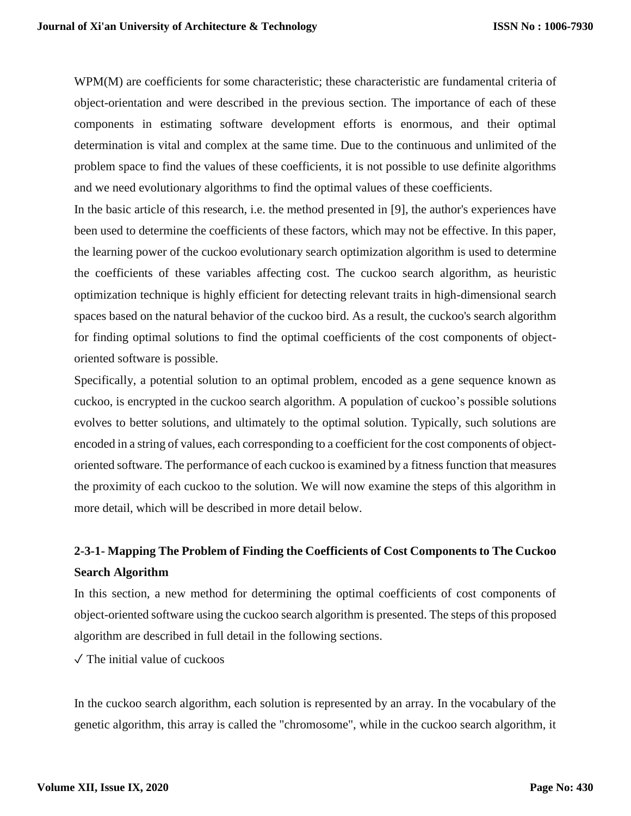WPM(M) are coefficients for some characteristic; these characteristic are fundamental criteria of object-orientation and were described in the previous section. The importance of each of these components in estimating software development efforts is enormous, and their optimal determination is vital and complex at the same time. Due to the continuous and unlimited of the problem space to find the values of these coefficients, it is not possible to use definite algorithms and we need evolutionary algorithms to find the optimal values of these coefficients.

In the basic article of this research, i.e. the method presented in [9], the author's experiences have been used to determine the coefficients of these factors, which may not be effective. In this paper, the learning power of the cuckoo evolutionary search optimization algorithm is used to determine the coefficients of these variables affecting cost. The cuckoo search algorithm, as heuristic optimization technique is highly efficient for detecting relevant traits in high-dimensional search spaces based on the natural behavior of the cuckoo bird. As a result, the cuckoo's search algorithm for finding optimal solutions to find the optimal coefficients of the cost components of objectoriented software is possible.

Specifically, a potential solution to an optimal problem, encoded as a gene sequence known as cuckoo, is encrypted in the cuckoo search algorithm. A population of cuckoo's possible solutions evolves to better solutions, and ultimately to the optimal solution. Typically, such solutions are encoded in a string of values, each corresponding to a coefficient for the cost components of objectoriented software. The performance of each cuckoo is examined by a fitness function that measures the proximity of each cuckoo to the solution. We will now examine the steps of this algorithm in more detail, which will be described in more detail below.

# **2-3-1- Mapping The Problem of Finding the Coefficients of Cost Components to The Cuckoo Search Algorithm**

In this section, a new method for determining the optimal coefficients of cost components of object-oriented software using the cuckoo search algorithm is presented. The steps of this proposed algorithm are described in full detail in the following sections.

 $\sqrt{\ }$  The initial value of cuckoos

In the cuckoo search algorithm, each solution is represented by an array. In the vocabulary of the genetic algorithm, this array is called the "chromosome", while in the cuckoo search algorithm, it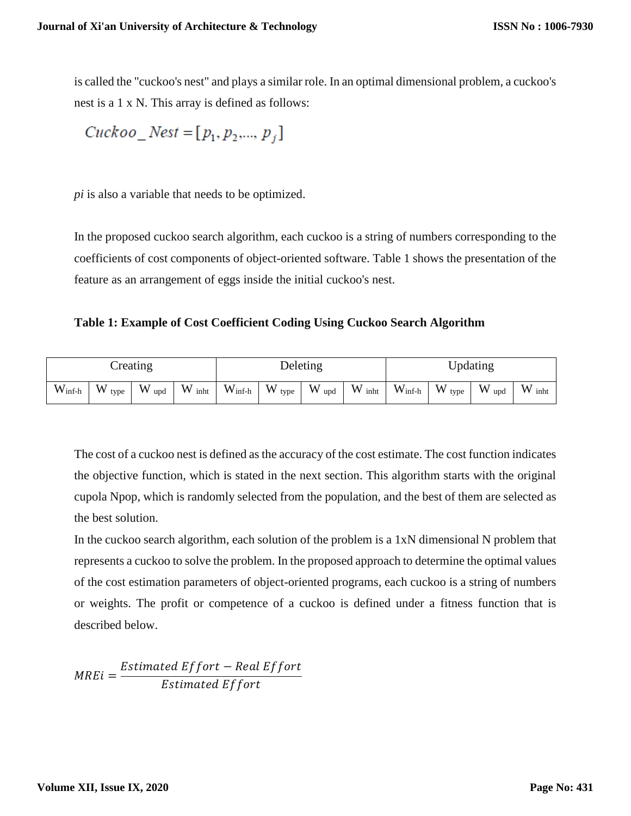is called the "cuckoo's nest" and plays a similar role. In an optimal dimensional problem, a cuckoo's nest is a 1 x N. This array is defined as follows:

$$
Cuckoo_{Nest} = [p_1, p_2, ..., p_j]
$$

*pi* is also a variable that needs to be optimized.

In the proposed cuckoo search algorithm, each cuckoo is a string of numbers corresponding to the coefficients of cost components of object-oriented software. Table 1 shows the presentation of the feature as an arrangement of eggs inside the initial cuckoo's nest.

**Table 1: Example of Cost Coefficient Coding Using Cuckoo Search Algorithm**

| reating         |           |          | Deleting          |                    |                   | Updating |           |                 |           |          |           |
|-----------------|-----------|----------|-------------------|--------------------|-------------------|----------|-----------|-----------------|-----------|----------|-----------|
| $W_{\rm inf-h}$ | W<br>type | W<br>upd | $W_{\text{inht}}$ | $W_{\text{inf-h}}$ | $W_{\text{type}}$ | W<br>upd | W<br>inht | $W_{\rm inf-h}$ | W<br>type | W<br>upd | W<br>inht |

The cost of a cuckoo nest is defined as the accuracy of the cost estimate. The cost function indicates the objective function, which is stated in the next section. This algorithm starts with the original cupola Npop, which is randomly selected from the population, and the best of them are selected as the best solution.

In the cuckoo search algorithm, each solution of the problem is a 1xN dimensional N problem that represents a cuckoo to solve the problem. In the proposed approach to determine the optimal values of the cost estimation parameters of object-oriented programs, each cuckoo is a string of numbers or weights. The profit or competence of a cuckoo is defined under a fitness function that is described below.

 $MREi =$ Estimated Effort – Real Effort Estimated Effort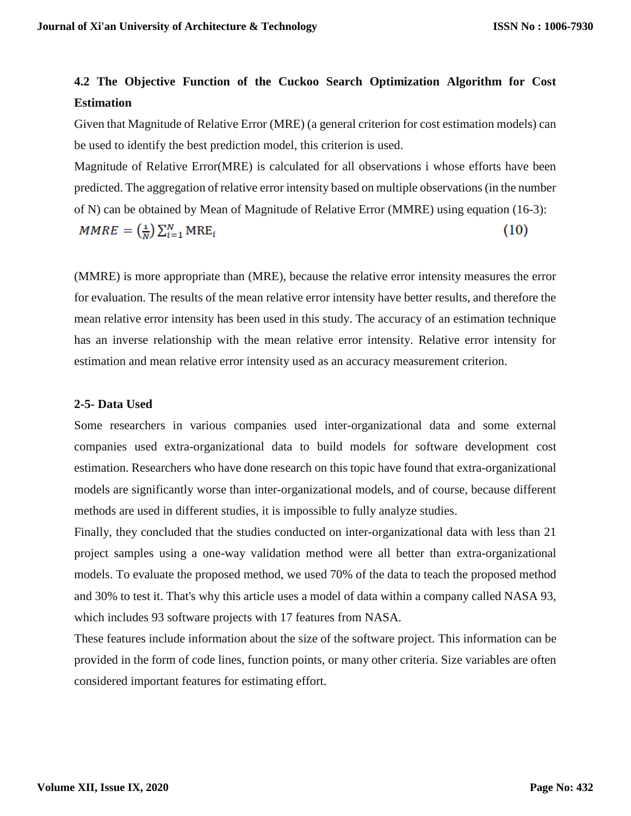# **4.2 The Objective Function of the Cuckoo Search Optimization Algorithm for Cost Estimation**

Given that Magnitude of Relative Error (MRE) (a general criterion for cost estimation models) can be used to identify the best prediction model, this criterion is used.

Magnitude of Relative Error(MRE) is calculated for all observations i whose efforts have been predicted. The aggregation of relative error intensity based on multiple observations (in the number of N) can be obtained by Mean of Magnitude of Relative Error (MMRE) using equation (16-3):  $MMRE = \left(\frac{1}{N}\right) \sum_{i=1}^{N} MRE_i$  $(10)$ 

(MMRE) is more appropriate than (MRE), because the relative error intensity measures the error for evaluation. The results of the mean relative error intensity have better results, and therefore the mean relative error intensity has been used in this study. The accuracy of an estimation technique has an inverse relationship with the mean relative error intensity. Relative error intensity for estimation and mean relative error intensity used as an accuracy measurement criterion.

### **2-5- Data Used**

Some researchers in various companies used inter-organizational data and some external companies used extra-organizational data to build models for software development cost estimation. Researchers who have done research on this topic have found that extra-organizational models are significantly worse than inter-organizational models, and of course, because different methods are used in different studies, it is impossible to fully analyze studies.

Finally, they concluded that the studies conducted on inter-organizational data with less than 21 project samples using a one-way validation method were all better than extra-organizational models. To evaluate the proposed method, we used 70% of the data to teach the proposed method and 30% to test it. That's why this article uses a model of data within a company called NASA 93, which includes 93 software projects with 17 features from NASA.

These features include information about the size of the software project. This information can be provided in the form of code lines, function points, or many other criteria. Size variables are often considered important features for estimating effort.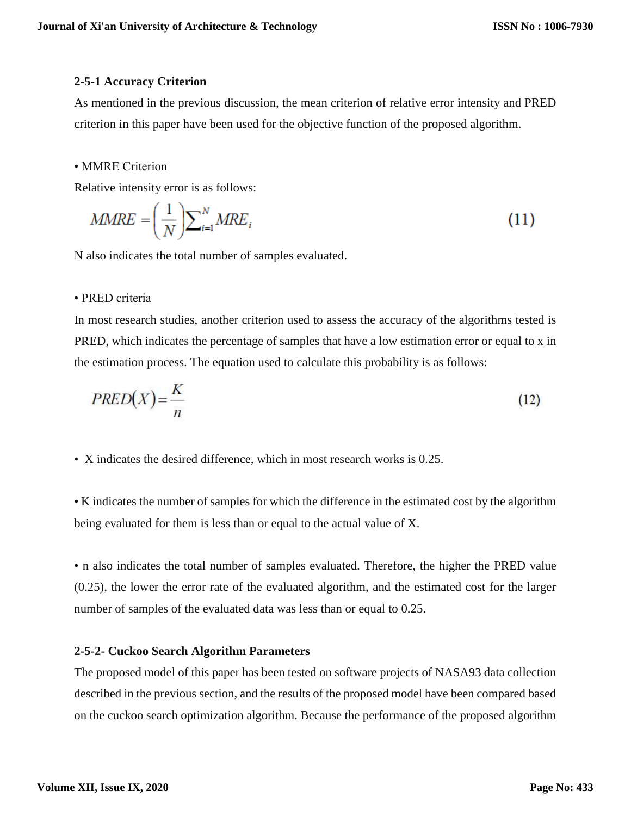## **2-5-1 Accuracy Criterion**

As mentioned in the previous discussion, the mean criterion of relative error intensity and PRED criterion in this paper have been used for the objective function of the proposed algorithm.

### • MMRE Criterion

Relative intensity error is as follows:

$$
MMRE = \left(\frac{1}{N}\right) \sum_{i=1}^{N} MRE_i
$$
\n(11)

N also indicates the total number of samples evaluated.

## • PRED criteria

In most research studies, another criterion used to assess the accuracy of the algorithms tested is PRED, which indicates the percentage of samples that have a low estimation error or equal to x in the estimation process. The equation used to calculate this probability is as follows:

$$
PRED(X) = \frac{K}{n}
$$
 (12)

• X indicates the desired difference, which in most research works is 0.25.

• K indicates the number of samples for which the difference in the estimated cost by the algorithm being evaluated for them is less than or equal to the actual value of X.

• n also indicates the total number of samples evaluated. Therefore, the higher the PRED value (0.25), the lower the error rate of the evaluated algorithm, and the estimated cost for the larger number of samples of the evaluated data was less than or equal to 0.25.

## **2-5-2- Cuckoo Search Algorithm Parameters**

The proposed model of this paper has been tested on software projects of NASA93 data collection described in the previous section, and the results of the proposed model have been compared based on the cuckoo search optimization algorithm. Because the performance of the proposed algorithm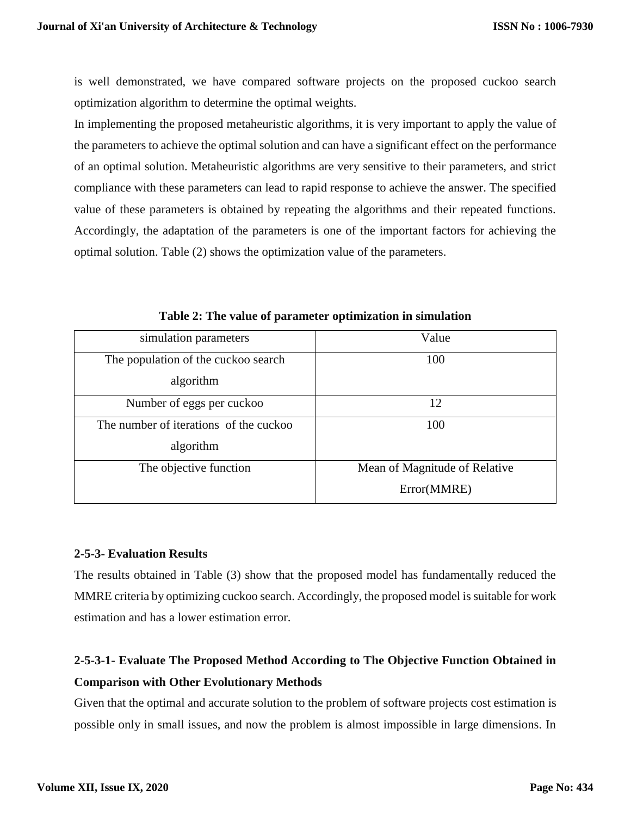is well demonstrated, we have compared software projects on the proposed cuckoo search optimization algorithm to determine the optimal weights.

In implementing the proposed metaheuristic algorithms, it is very important to apply the value of the parameters to achieve the optimal solution and can have a significant effect on the performance of an optimal solution. Metaheuristic algorithms are very sensitive to their parameters, and strict compliance with these parameters can lead to rapid response to achieve the answer. The specified value of these parameters is obtained by repeating the algorithms and their repeated functions. Accordingly, the adaptation of the parameters is one of the important factors for achieving the optimal solution. Table (2) shows the optimization value of the parameters.

| simulation parameters                  | Value                         |
|----------------------------------------|-------------------------------|
| The population of the cuckoo search    | 100                           |
| algorithm                              |                               |
| Number of eggs per cuckoo              | 12                            |
| The number of iterations of the cuckoo | 100                           |
| algorithm                              |                               |
| The objective function                 | Mean of Magnitude of Relative |
|                                        | Error(MMRE)                   |

**Table 2: The value of parameter optimization in simulation**

## **2-5-3- Evaluation Results**

The results obtained in Table (3) show that the proposed model has fundamentally reduced the MMRE criteria by optimizing cuckoo search. Accordingly, the proposed model is suitable for work estimation and has a lower estimation error.

# **2-5-3-1- Evaluate The Proposed Method According to The Objective Function Obtained in Comparison with Other Evolutionary Methods**

Given that the optimal and accurate solution to the problem of software projects cost estimation is possible only in small issues, and now the problem is almost impossible in large dimensions. In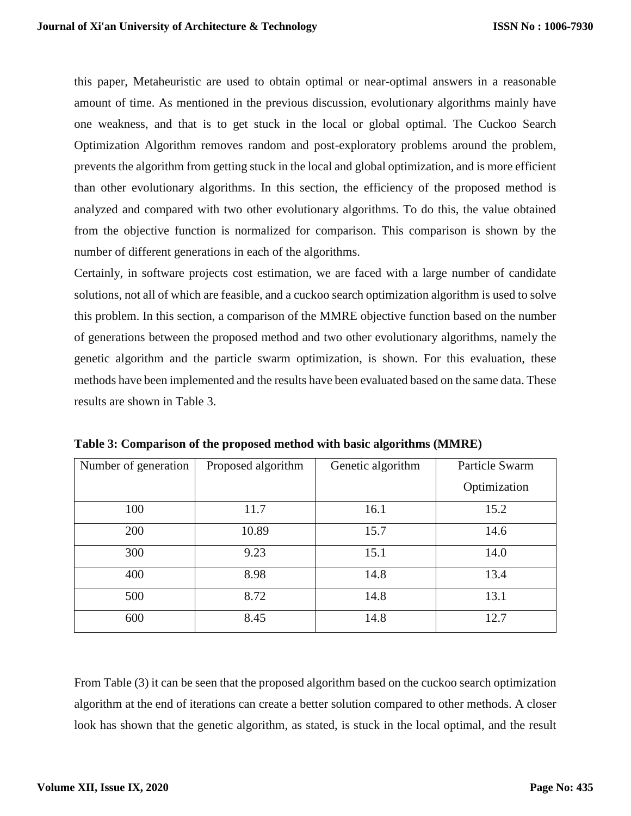this paper, Metaheuristic are used to obtain optimal or near-optimal answers in a reasonable amount of time. As mentioned in the previous discussion, evolutionary algorithms mainly have one weakness, and that is to get stuck in the local or global optimal. The Cuckoo Search Optimization Algorithm removes random and post-exploratory problems around the problem, prevents the algorithm from getting stuck in the local and global optimization, and is more efficient than other evolutionary algorithms. In this section, the efficiency of the proposed method is analyzed and compared with two other evolutionary algorithms. To do this, the value obtained from the objective function is normalized for comparison. This comparison is shown by the number of different generations in each of the algorithms.

Certainly, in software projects cost estimation, we are faced with a large number of candidate solutions, not all of which are feasible, and a cuckoo search optimization algorithm is used to solve this problem. In this section, a comparison of the MMRE objective function based on the number of generations between the proposed method and two other evolutionary algorithms, namely the genetic algorithm and the particle swarm optimization, is shown. For this evaluation, these methods have been implemented and the results have been evaluated based on the same data. These results are shown in Table 3.

| Number of generation | Proposed algorithm | Genetic algorithm | Particle Swarm |  |
|----------------------|--------------------|-------------------|----------------|--|
|                      |                    |                   | Optimization   |  |
| 100                  | 11.7               | 16.1              | 15.2           |  |
| 200                  | 10.89              | 15.7              | 14.6           |  |
| 300                  | 9.23               | 15.1              | 14.0           |  |
| 400                  | 8.98               | 14.8              | 13.4           |  |
| 500                  | 8.72               | 14.8              | 13.1           |  |
| 600                  | 8.45               | 14.8              | 12.7           |  |

**Table 3: Comparison of the proposed method with basic algorithms (MMRE)**

From Table (3) it can be seen that the proposed algorithm based on the cuckoo search optimization algorithm at the end of iterations can create a better solution compared to other methods. A closer look has shown that the genetic algorithm, as stated, is stuck in the local optimal, and the result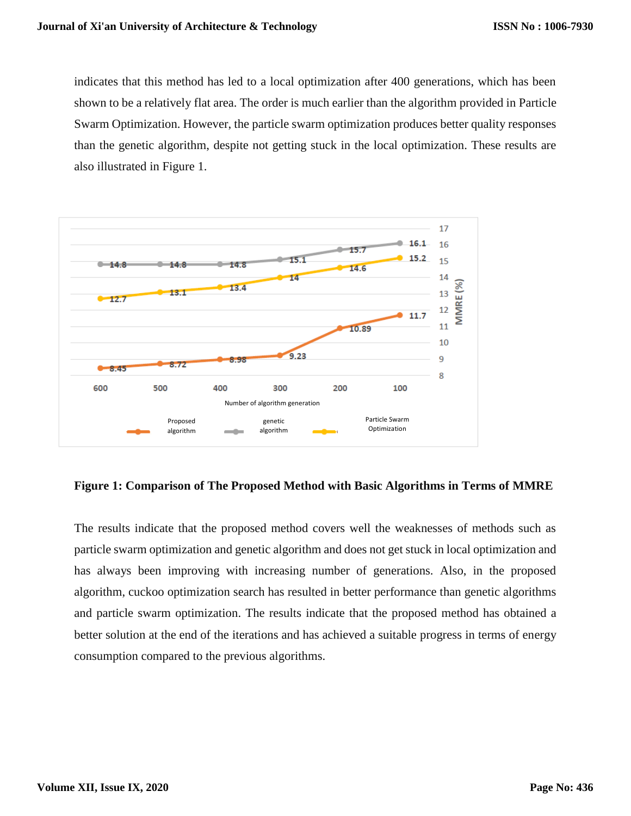indicates that this method has led to a local optimization after 400 generations, which has been shown to be a relatively flat area. The order is much earlier than the algorithm provided in Particle Swarm Optimization. However, the particle swarm optimization produces better quality responses than the genetic algorithm, despite not getting stuck in the local optimization. These results are also illustrated in Figure 1.



**Figure 1: Comparison of The Proposed Method with Basic Algorithms in Terms of MMRE**

The results indicate that the proposed method covers well the weaknesses of methods such as particle swarm optimization and genetic algorithm and does not get stuck in local optimization and has always been improving with increasing number of generations. Also, in the proposed algorithm, cuckoo optimization search has resulted in better performance than genetic algorithms and particle swarm optimization. The results indicate that the proposed method has obtained a better solution at the end of the iterations and has achieved a suitable progress in terms of energy consumption compared to the previous algorithms.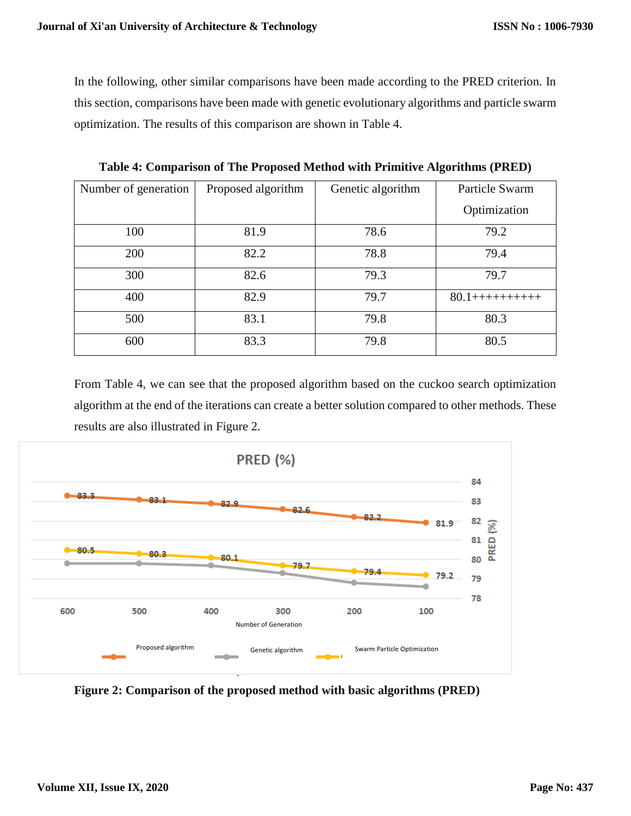In the following, other similar comparisons have been made according to the PRED criterion. In this section, comparisons have been made with genetic evolutionary algorithms and particle swarm optimization. The results of this comparison are shown in Table 4.

| Number of generation | Proposed algorithm | Genetic algorithm | Particle Swarm     |
|----------------------|--------------------|-------------------|--------------------|
|                      |                    |                   |                    |
|                      |                    |                   | Optimization       |
| 100                  | 81.9               | 78.6              | 79.2               |
| 200                  | 82.2               | 78.8              | 79.4               |
| 300                  | 82.6               | 79.3              | 79.7               |
| 400                  | 82.9               | 79.7              | $80.1$ +++++++++++ |
| 500                  | 83.1               | 79.8              | 80.3               |
| 600                  | 83.3               | 79.8              | 80.5               |

**Table 4: Comparison of The Proposed Method with Primitive Algorithms (PRED)**

From Table 4, we can see that the proposed algorithm based on the cuckoo search optimization algorithm at the end of the iterations can create a better solution compared to other methods. These results are also illustrated in Figure 2.



**Figure 2: Comparison of the proposed method with basic algorithms (PRED)**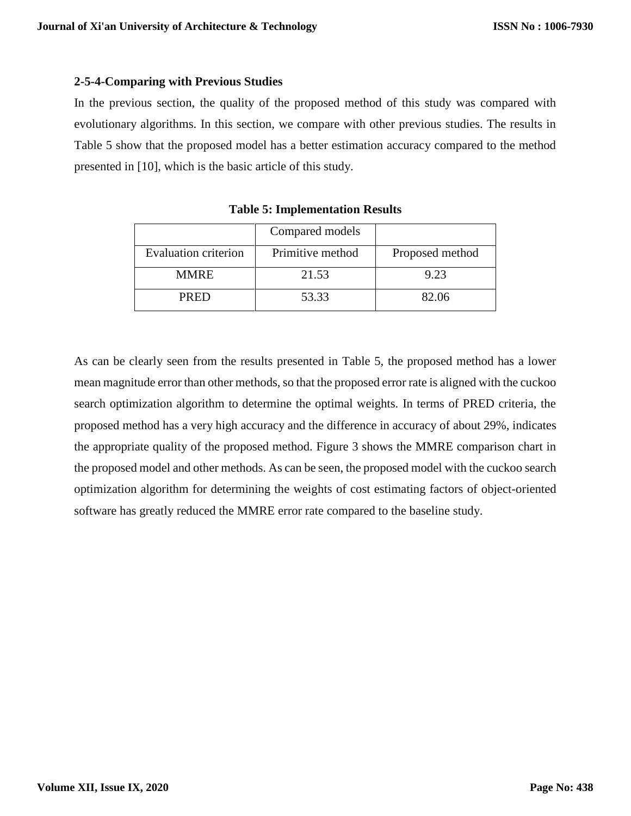# **2-5-4-Comparing with Previous Studies**

In the previous section, the quality of the proposed method of this study was compared with evolutionary algorithms. In this section, we compare with other previous studies. The results in Table 5 show that the proposed model has a better estimation accuracy compared to the method presented in [10], which is the basic article of this study.

|                             | Compared models  |                 |
|-----------------------------|------------------|-----------------|
| <b>Evaluation criterion</b> | Primitive method | Proposed method |
| <b>MMRE</b>                 | 21.53            | 9.23            |
| <b>PRED</b>                 | 53.33            | 82.06           |

**Table 5: Implementation Results**

As can be clearly seen from the results presented in Table 5, the proposed method has a lower mean magnitude error than other methods, so that the proposed error rate is aligned with the cuckoo search optimization algorithm to determine the optimal weights. In terms of PRED criteria, the proposed method has a very high accuracy and the difference in accuracy of about 29%, indicates the appropriate quality of the proposed method. Figure 3 shows the MMRE comparison chart in the proposed model and other methods. As can be seen, the proposed model with the cuckoo search optimization algorithm for determining the weights of cost estimating factors of object-oriented software has greatly reduced the MMRE error rate compared to the baseline study.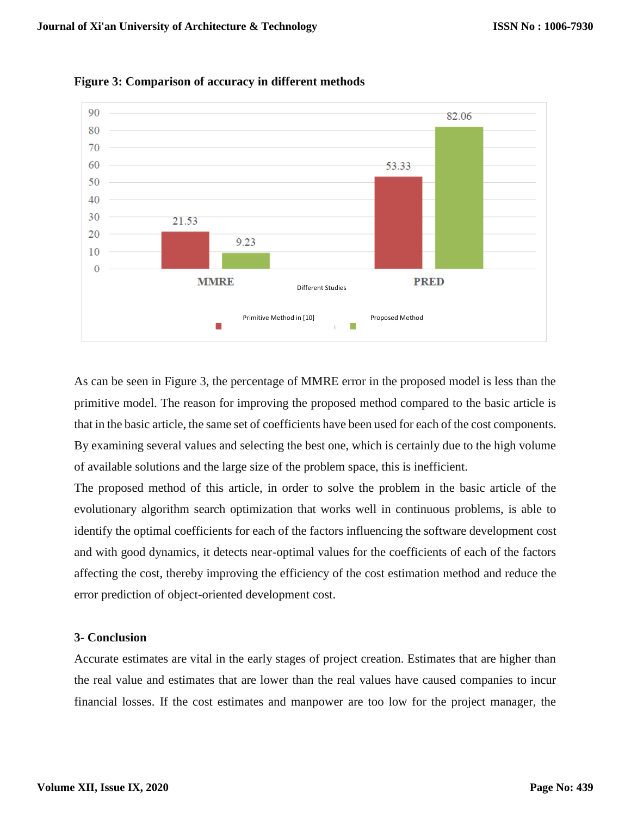

**Figure 3: Comparison of accuracy in different methods**

As can be seen in Figure 3, the percentage of MMRE error in the proposed model is less than the primitive model. The reason for improving the proposed method compared to the basic article is that in the basic article, the same set of coefficients have been used for each of the cost components. By examining several values and selecting the best one, which is certainly due to the high volume of available solutions and the large size of the problem space, this is inefficient.

The proposed method of this article, in order to solve the problem in the basic article of the evolutionary algorithm search optimization that works well in continuous problems, is able to identify the optimal coefficients for each of the factors influencing the software development cost and with good dynamics, it detects near-optimal values for the coefficients of each of the factors affecting the cost, thereby improving the efficiency of the cost estimation method and reduce the error prediction of object-oriented development cost.

### **3- Conclusion**

Accurate estimates are vital in the early stages of project creation. Estimates that are higher than the real value and estimates that are lower than the real values have caused companies to incur financial losses. If the cost estimates and manpower are too low for the project manager, the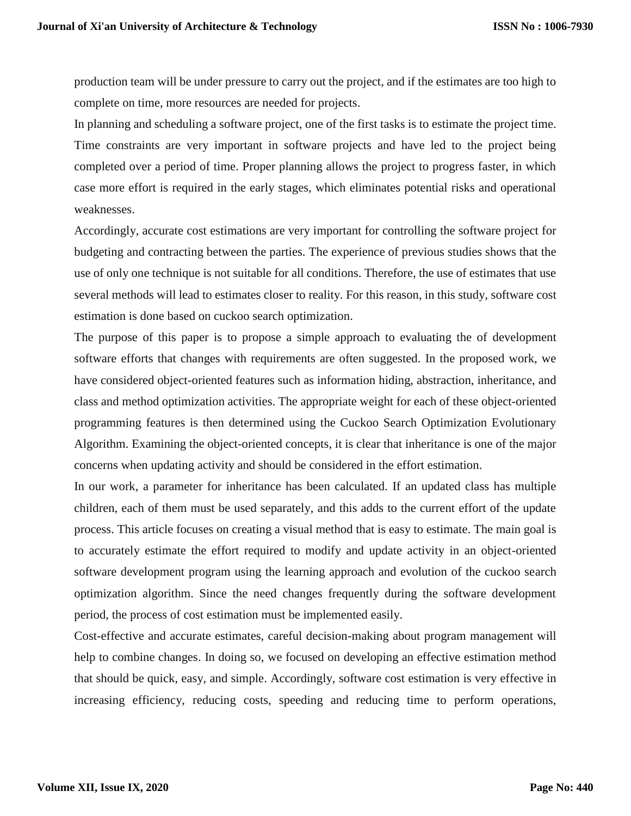production team will be under pressure to carry out the project, and if the estimates are too high to complete on time, more resources are needed for projects.

In planning and scheduling a software project, one of the first tasks is to estimate the project time. Time constraints are very important in software projects and have led to the project being completed over a period of time. Proper planning allows the project to progress faster, in which case more effort is required in the early stages, which eliminates potential risks and operational weaknesses.

Accordingly, accurate cost estimations are very important for controlling the software project for budgeting and contracting between the parties. The experience of previous studies shows that the use of only one technique is not suitable for all conditions. Therefore, the use of estimates that use several methods will lead to estimates closer to reality. For this reason, in this study, software cost estimation is done based on cuckoo search optimization.

The purpose of this paper is to propose a simple approach to evaluating the of development software efforts that changes with requirements are often suggested. In the proposed work, we have considered object-oriented features such as information hiding, abstraction, inheritance, and class and method optimization activities. The appropriate weight for each of these object-oriented programming features is then determined using the Cuckoo Search Optimization Evolutionary Algorithm. Examining the object-oriented concepts, it is clear that inheritance is one of the major concerns when updating activity and should be considered in the effort estimation.

In our work, a parameter for inheritance has been calculated. If an updated class has multiple children, each of them must be used separately, and this adds to the current effort of the update process. This article focuses on creating a visual method that is easy to estimate. The main goal is to accurately estimate the effort required to modify and update activity in an object-oriented software development program using the learning approach and evolution of the cuckoo search optimization algorithm. Since the need changes frequently during the software development period, the process of cost estimation must be implemented easily.

Cost-effective and accurate estimates, careful decision-making about program management will help to combine changes. In doing so, we focused on developing an effective estimation method that should be quick, easy, and simple. Accordingly, software cost estimation is very effective in increasing efficiency, reducing costs, speeding and reducing time to perform operations,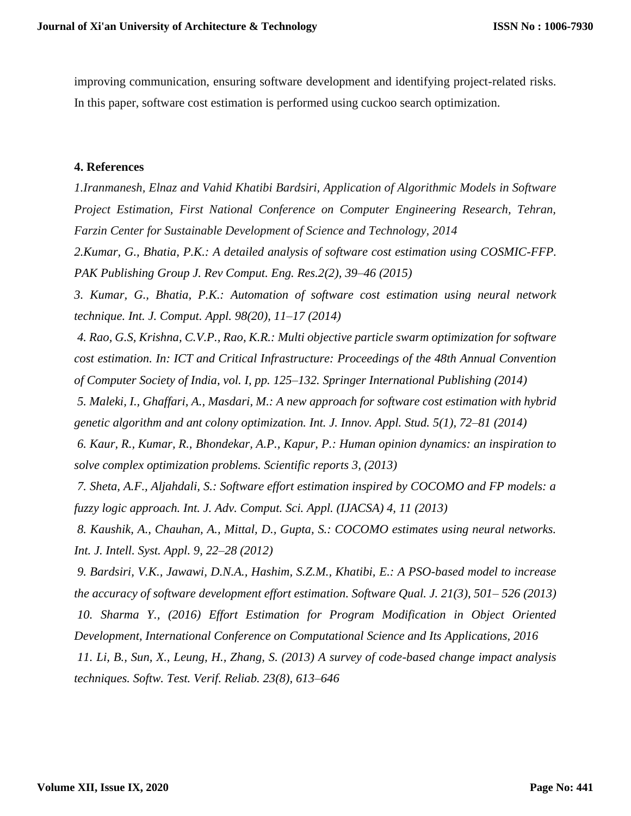improving communication, ensuring software development and identifying project-related risks. In this paper, software cost estimation is performed using cuckoo search optimization.

#### **4. References**

*1.Iranmanesh, Elnaz and Vahid Khatibi Bardsiri, Application of Algorithmic Models in Software Project Estimation, First National Conference on Computer Engineering Research, Tehran, Farzin Center for Sustainable Development of Science and Technology, 2014*

*2.Kumar, G., Bhatia, P.K.: A detailed analysis of software cost estimation using COSMIC-FFP. PAK Publishing Group J. Rev Comput. Eng. Res.2(2), 39–46 (2015)* 

*3. Kumar, G., Bhatia, P.K.: Automation of software cost estimation using neural network technique. Int. J. Comput. Appl. 98(20), 11–17 (2014)*

*4. Rao, G.S, Krishna, C.V.P., Rao, K.R.: Multi objective particle swarm optimization for software cost estimation. In: ICT and Critical Infrastructure: Proceedings of the 48th Annual Convention of Computer Society of India, vol. I, pp. 125–132. Springer International Publishing (2014)* 

*5. Maleki, I., Ghaffari, A., Masdari, M.: A new approach for software cost estimation with hybrid genetic algorithm and ant colony optimization. Int. J. Innov. Appl. Stud. 5(1), 72–81 (2014)*

*6. Kaur, R., Kumar, R., Bhondekar, A.P., Kapur, P.: Human opinion dynamics: an inspiration to solve complex optimization problems. Scientific reports 3, (2013)*

*7. Sheta, A.F., Aljahdali, S.: Software effort estimation inspired by COCOMO and FP models: a fuzzy logic approach. Int. J. Adv. Comput. Sci. Appl. (IJACSA) 4, 11 (2013)*

*8. Kaushik, A., Chauhan, A., Mittal, D., Gupta, S.: COCOMO estimates using neural networks. Int. J. Intell. Syst. Appl. 9, 22–28 (2012)*

*9. Bardsiri, V.K., Jawawi, D.N.A., Hashim, S.Z.M., Khatibi, E.: A PSO-based model to increase the accuracy of software development effort estimation. Software Qual. J. 21(3), 501– 526 (2013)*

*10. Sharma Y., (2016) Effort Estimation for Program Modification in Object Oriented Development, International Conference on Computational Science and Its Applications, 2016*

*11. Li, B., Sun, X., Leung, H., Zhang, S. (2013) A survey of code-based change impact analysis techniques. Softw. Test. Verif. Reliab. 23(8), 613–646*